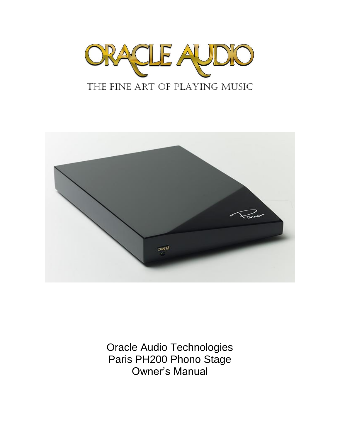



Oracle Audio Technologies Paris PH200 Phono Stage Owner's Manual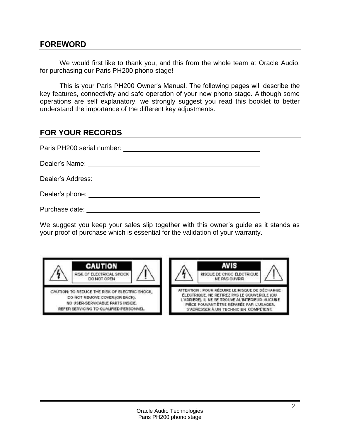### **FOREWORD**

We would first like to thank you, and this from the whole team at Oracle Audio, for purchasing our Paris PH200 phono stage!

This is your Paris PH200 Owner's Manual. The following pages will describe the key features, connectivity and safe operation of your new phono stage. Although some operations are self explanatory, we strongly suggest you read this booklet to better understand the importance of the different key adjustments.

# **FOR YOUR RECORDS**

| Paris PH200 serial number:                                                                                                                                                                                                           |
|--------------------------------------------------------------------------------------------------------------------------------------------------------------------------------------------------------------------------------------|
|                                                                                                                                                                                                                                      |
| Dealer's Address: The Contract of the Contract of the Contract of the Contract of the Contract of the Contract of the Contract of the Contract of the Contract of the Contract of the Contract of the Contract of the Contract       |
| Dealer's phone: <u>contract the contract of the set of the set of the set of the set of the set of the set of the set of the set of the set of the set of the set of the set of the set of the set of the set of the set of the </u> |
| Purchase date:                                                                                                                                                                                                                       |

We suggest you keep your sales slip together with this owner's guide as it stands as your proof of purchase which is essential for the validation of your warranty.



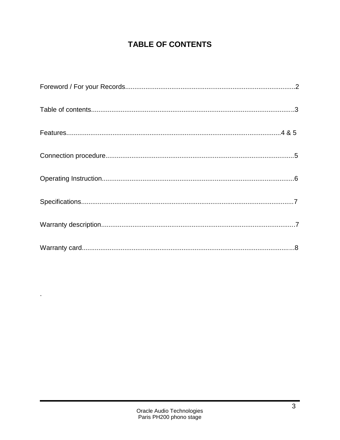# **TABLE OF CONTENTS**

 $\mathbf{r}$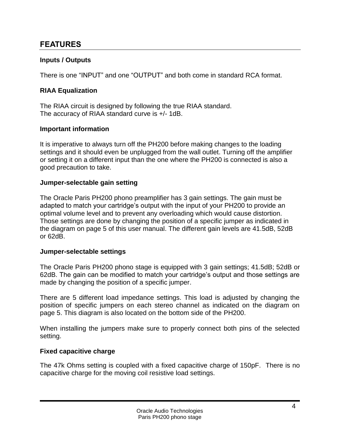# **FEATURES**

### **Inputs / Outputs**

There is one "INPUT" and one "OUTPUT" and both come in standard RCA format.

### **RIAA Equalization**

The RIAA circuit is designed by following the true RIAA standard. The accuracy of RIAA standard curve is +/- 1dB.

### **Important information**

It is imperative to always turn off the PH200 before making changes to the loading settings and it should even be unplugged from the wall outlet. Turning off the amplifier or setting it on a different input than the one where the PH200 is connected is also a good precaution to take.

### **Jumper-selectable gain setting**

The Oracle Paris PH200 phono preamplifier has 3 gain settings. The gain must be adapted to match your cartridge's output with the input of your PH200 to provide an optimal volume level and to prevent any overloading which would cause distortion. Those settings are done by changing the position of a specific jumper as indicated in the diagram on page 5 of this user manual. The different gain levels are 41.5dB, 52dB or 62dB.

### **Jumper-selectable settings**

The Oracle Paris PH200 phono stage is equipped with 3 gain settings; 41.5dB; 52dB or 62dB. The gain can be modified to match your cartridge's output and those settings are made by changing the position of a specific jumper.

There are 5 different load impedance settings. This load is adjusted by changing the position of specific jumpers on each stereo channel as indicated on the diagram on page 5. This diagram is also located on the bottom side of the PH200.

When installing the jumpers make sure to properly connect both pins of the selected setting.

### **Fixed capacitive charge**

The 47k Ohms setting is coupled with a fixed capacitive charge of 150pF. There is no capacitive charge for the moving coil resistive load settings.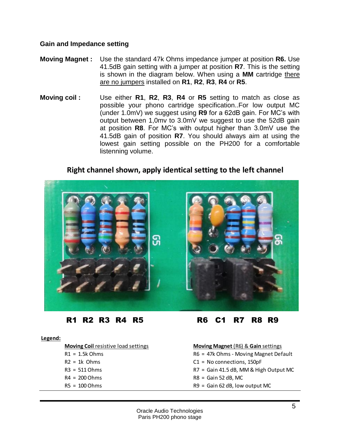### **Gain and Impedance setting**

- **Moving Magnet :** Use the standard 47k Ohms impedance jumper at position **R6.** Use 41.5dB gain setting with a jumper at position **R7**. This is the setting is shown in the diagram below. When using a **MM** cartridge there are no jumpers installed on **R1**, **R2**, **R3**, **R4** or **R5**.
- **Moving coil :** Use either **R1**, **R2**, **R3**, **R4** or **R5** setting to match as close as possible your phono cartridge specification..For low output MC (under 1.0mV) we suggest using **R9** for a 62dB gain. For MC's with output between 1,0mv to 3.0mV we suggest to use the 52dB gain at position **R8**. For MC's with output higher than 3.0mV use the 41.5dB gain of position **R7**. You should always aim at using the lowest gain setting possible on the PH200 for a comfortable listenning volume.

### **Right channel shown, apply identical setting to the left channel**



R1 R2 R3 R4 R5 R6 C1 R7 R8 R9

### **Legend:**

| Moving Coil resistive load settings | <b>Moving Magnet (R6) &amp; Gain settings</b> |  |  |
|-------------------------------------|-----------------------------------------------|--|--|
| $R1 = 1.5k$ Ohms                    | R6 = 47k Ohms - Moving Magnet Default         |  |  |
| $R2 = 1k$ Ohms                      | $C1 = No$ connections, 150pF                  |  |  |
| $R3 = 511$ Ohms                     | R7 = Gain 41.5 dB, MM & High Output MC        |  |  |
| $R4 = 200$ Ohms                     | $R8 =$ Gain 52 dB, MC                         |  |  |
| $R5 = 100$ Ohms                     | $R9 =$ Gain 62 dB, low output MC              |  |  |
|                                     |                                               |  |  |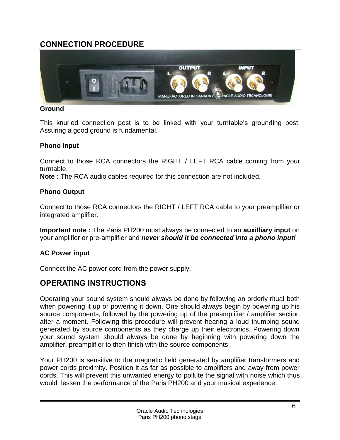# **CONNECTION PROCEDURE**



### **Ground**

This knurled connection post is to be linked with your turntable's grounding post. Assuring a good ground is fundamental.

### **Phono Input**

Connect to those RCA connectors the RIGHT / LEFT RCA cable coming from your turntable.

**Note :** The RCA audio cables required for this connection are not included.

### **Phono Output**

Connect to those RCA connectors the RIGHT / LEFT RCA cable to your preamplifier or integrated amplifier.

**Important note :** The Paris PH200 must always be connected to an **auxilliary input** on your amplifier or pre-amplifier and *never should it be connected into a phono input!*

### **AC Power input**

Connect the AC power cord from the power supply.

### **OPERATING INSTRUCTIONS**

Operating your sound system should always be done by following an orderly ritual both when powering it up or powering it down. One should always begin by powering up his source components, followed by the powering up of the preamplifier / amplifier section after a moment. Following this procedure will prevent hearing a loud thumping sound generated by source components as they charge up their electronics. Powering down your sound system should always be done by beginning with powering down the amplifier, preamplifier to then finish with the source components.

Your PH200 is sensitive to the magnetic field generated by amplifier transformers and power cords proximity. Position it as far as possible to amplifiers and away from power cords. This will prevent this unwanted energy to pollute the signal with noise which thus would lessen the performance of the Paris PH200 and your musical experience.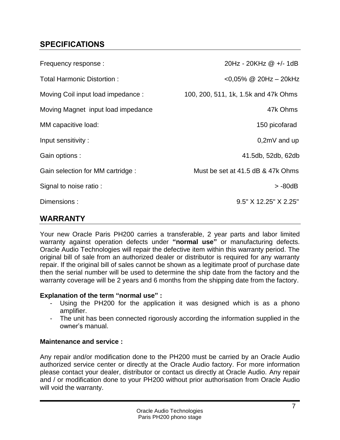# **SPECIFICATIONS**

| Frequency response :               | 20Hz - 20KHz @ +/- 1dB               |
|------------------------------------|--------------------------------------|
| Total Harmonic Distortion:         | <0,05% @ 20Hz - 20kHz                |
| Moving Coil input load impedance : | 100, 200, 511, 1k, 1.5k and 47k Ohms |
| Moving Magnet input load impedance | 47k Ohms                             |
| MM capacitive load:                | 150 picofarad                        |
| Input sensitivity:                 | $0,2mV$ and up                       |
| Gain options :                     | 41.5db, 52db, 62db                   |
| Gain selection for MM cartridge :  | Must be set at 41.5 dB & 47k Ohms    |
| Signal to noise ratio:             | > -80dB                              |
| Dimensions:                        | 9.5" X 12.25" X 2.25"                |
| <b>INADD ANTV</b>                  |                                      |

### **WARRANTY**

Your new Oracle Paris PH200 carries a transferable, 2 year parts and labor limited warranty against operation defects under **"normal use"** or manufacturing defects. Oracle Audio Technologies will repair the defective item within this warranty period. The original bill of sale from an authorized dealer or distributor is required for any warranty repair. If the original bill of sales cannot be shown as a legitimate proof of purchase date then the serial number will be used to determine the ship date from the factory and the warranty coverage will be 2 years and 6 months from the shipping date from the factory.

### **Explanation of the term "normal use" :**

- Using the PH200 for the application it was designed which is as a phono amplifier.
- The unit has been connected rigorously according the information supplied in the owner's manual.

### **Maintenance and service :**

Any repair and/or modification done to the PH200 must be carried by an Oracle Audio authorized service center or directly at the Oracle Audio factory. For more information please contact your dealer, distributor or contact us directly at Oracle Audio. Any repair and / or modification done to your PH200 without prior authorisation from Oracle Audio will void the warranty.